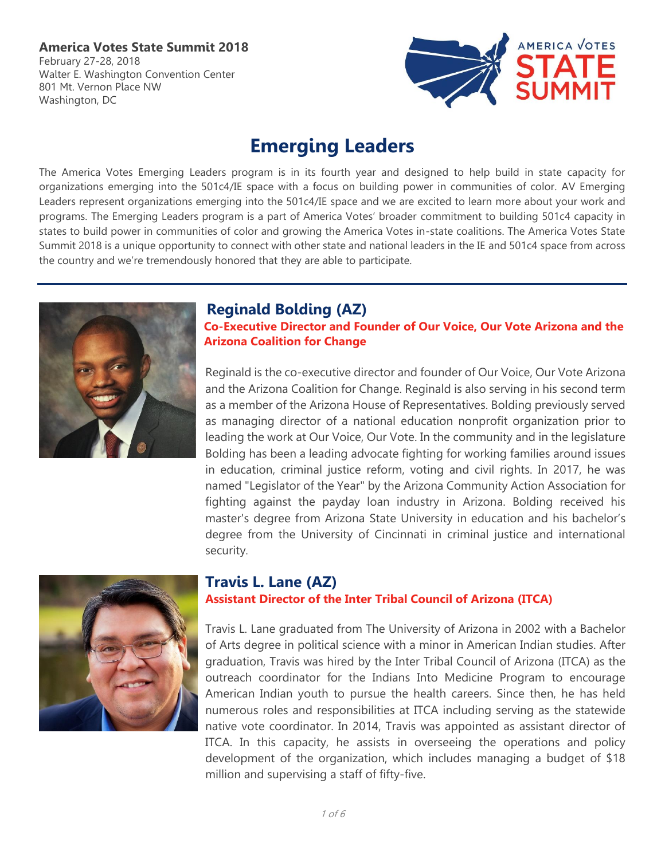## **America Votes State Summit 2018**

February 27-28, 2018 Walter E. Washington Convention Center 801 Mt. Vernon Place NW Washington, DC



# **Emerging Leaders**

The America Votes Emerging Leaders program is in its fourth year and designed to help build in state capacity for organizations emerging into the 501c4/IE space with a focus on building power in communities of color. AV Emerging Leaders represent organizations emerging into the 501c4/IE space and we are excited to learn more about your work and programs. The Emerging Leaders program is a part of America Votes' broader commitment to building 501c4 capacity in states to build power in communities of color and growing the America Votes in-state coalitions. The America Votes State Summit 2018 is a unique opportunity to connect with other state and national leaders in the IE and 501c4 space from across the country and we're tremendously honored that they are able to participate.



## **Reginald Bolding (AZ)**

**Co-Executive Director and Founder of Our Voice, Our Vote Arizona and the Arizona Coalition for Change**

Reginald is the co-executive director and founder of Our Voice, Our Vote Arizona and the Arizona Coalition for Change. Reginald is also serving in his second term as a member of the Arizona House of Representatives. Bolding previously served as managing director of a national education nonprofit organization prior to leading the work at Our Voice, Our Vote. In the community and in the legislature Bolding has been a leading advocate fighting for working families around issues in education, criminal justice reform, voting and civil rights. In 2017, he was named "Legislator of the Year" by the Arizona Community Action Association for fighting against the payday loan industry in Arizona. Bolding received his master's degree from Arizona State University in education and his bachelor's degree from the University of Cincinnati in criminal justice and international security.



# **Travis L. Lane (AZ)**

### **Assistant Director of the Inter Tribal Council of Arizona (ITCA)**

Travis L. Lane graduated from The University of Arizona in 2002 with a Bachelor of Arts degree in political science with a minor in American Indian studies. After graduation, Travis was hired by the Inter Tribal Council of Arizona (ITCA) as the outreach coordinator for the Indians Into Medicine Program to encourage American Indian youth to pursue the health careers. Since then, he has held numerous roles and responsibilities at ITCA including serving as the statewide native vote coordinator. In 2014, Travis was appointed as assistant director of ITCA. In this capacity, he assists in overseeing the operations and policy development of the organization, which includes managing a budget of \$18 million and supervising a staff of fifty-five.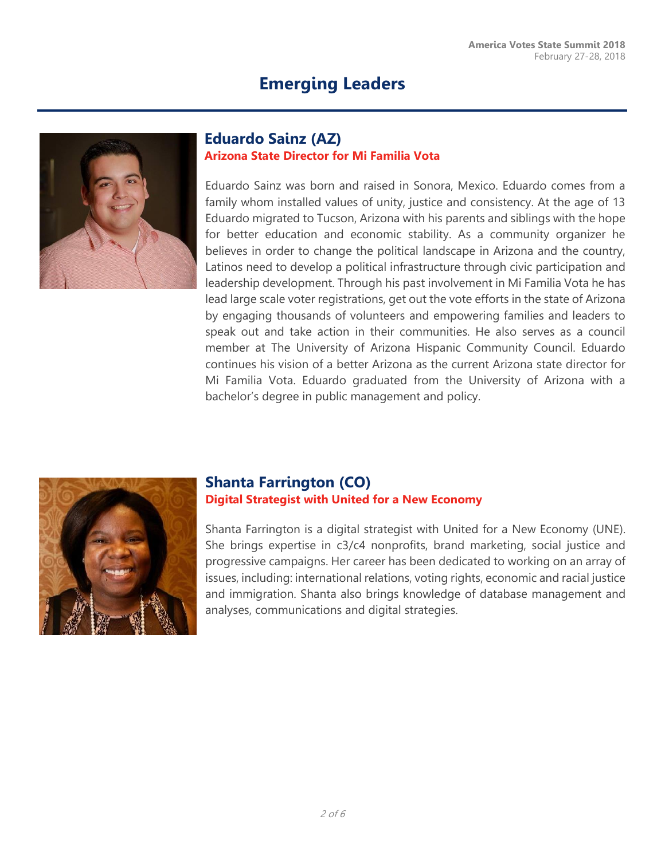

### **Eduardo Sainz (AZ) Arizona State Director for Mi Familia Vota**

Eduardo Sainz was born and raised in Sonora, Mexico. Eduardo comes from a family whom installed values of unity, justice and consistency. At the age of 13 Eduardo migrated to Tucson, Arizona with his parents and siblings with the hope for better education and economic stability. As a community organizer he believes in order to change the political landscape in Arizona and the country, Latinos need to develop a political infrastructure through civic participation and leadership development. Through his past involvement in Mi Familia Vota he has lead large scale voter registrations, get out the vote efforts in the state of Arizona by engaging thousands of volunteers and empowering families and leaders to speak out and take action in their communities. He also serves as a council member at The University of Arizona Hispanic Community Council. Eduardo continues his vision of a better Arizona as the current Arizona state director for Mi Familia Vota. Eduardo graduated from the University of Arizona with a bachelor's degree in public management and policy.



### **Shanta Farrington (CO) Digital Strategist with United for a New Economy**

Shanta Farrington is a digital strategist with United for a New Economy (UNE). She brings expertise in c3/c4 nonprofits, brand marketing, social justice and progressive campaigns. Her career has been dedicated to working on an array of issues, including: international relations, voting rights, economic and racial justice and immigration. Shanta also brings knowledge of database management and analyses, communications and digital strategies.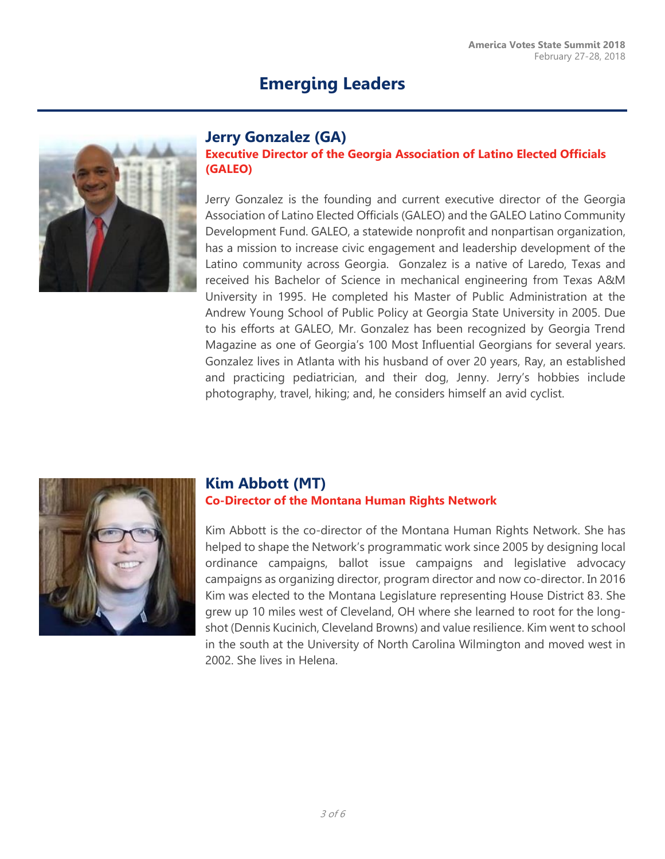

## **Jerry Gonzalez (GA)**

### **Executive Director of the Georgia Association of Latino Elected Officials (GALEO)**

Jerry Gonzalez is the founding and current executive director of the Georgia Association of Latino Elected Officials (GALEO) and the GALEO Latino Community Development Fund. GALEO, a statewide nonprofit and nonpartisan organization, has a mission to increase civic engagement and leadership development of the Latino community across Georgia. Gonzalez is a native of Laredo, Texas and received his Bachelor of Science in mechanical engineering from Texas A&M University in 1995. He completed his Master of Public Administration at the Andrew Young School of Public Policy at Georgia State University in 2005. Due to his efforts at GALEO, Mr. Gonzalez has been recognized by Georgia Trend Magazine as one of Georgia's 100 Most Influential Georgians for several years. Gonzalez lives in Atlanta with his husband of over 20 years, Ray, an established and practicing pediatrician, and their dog, Jenny. Jerry's hobbies include photography, travel, hiking; and, he considers himself an avid cyclist.



# **Kim Abbott (MT)**

### **Co-Director of the Montana Human Rights Network**

Kim Abbott is the co-director of the Montana Human Rights Network. She has helped to shape the Network's programmatic work since 2005 by designing local ordinance campaigns, ballot issue campaigns and legislative advocacy campaigns as organizing director, program director and now co-director. In 2016 Kim was elected to the Montana Legislature representing House District 83. She grew up 10 miles west of Cleveland, OH where she learned to root for the longshot (Dennis Kucinich, Cleveland Browns) and value resilience. Kim went to school in the south at the University of North Carolina Wilmington and moved west in 2002. She lives in Helena.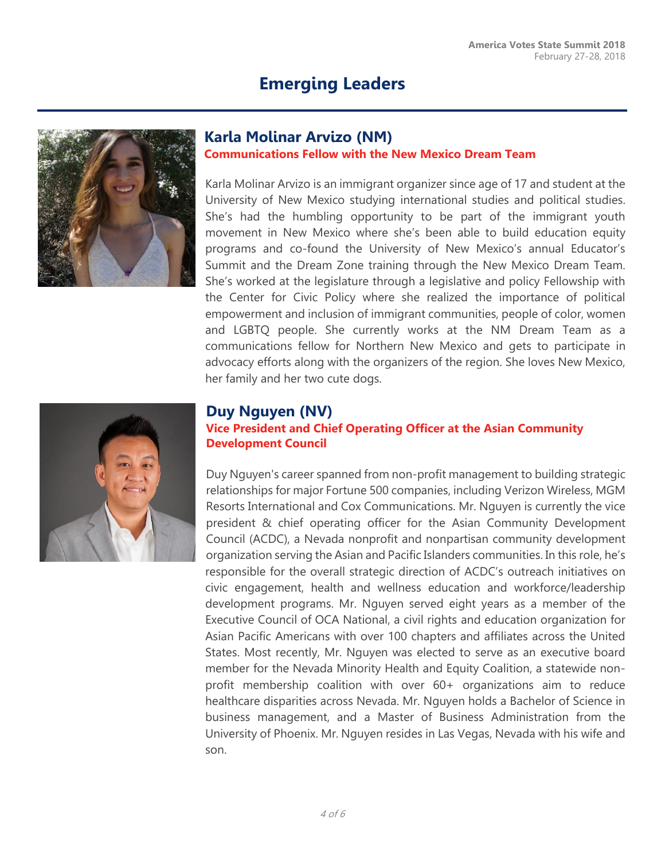

## **Karla Molinar Arvizo (NM)**

#### **Communications Fellow with the New Mexico Dream Team**

Karla Molinar Arvizo is an immigrant organizer since age of 17 and student at the University of New Mexico studying international studies and political studies. She's had the humbling opportunity to be part of the immigrant youth movement in New Mexico where she's been able to build education equity programs and co-found the University of New Mexico's annual Educator's Summit and the Dream Zone training through the New Mexico Dream Team. She's worked at the legislature through a legislative and policy Fellowship with the Center for Civic Policy where she realized the importance of political empowerment and inclusion of immigrant communities, people of color, women and LGBTQ people. She currently works at the NM Dream Team as a communications fellow for Northern New Mexico and gets to participate in advocacy efforts along with the organizers of the region. She loves New Mexico, her family and her two cute dogs.



### **Duy Nguyen (NV)**

**Vice President and Chief Operating Officer at the Asian Community Development Council**

Duy Nguyen's career spanned from non-profit management to building strategic relationships for major Fortune 500 companies, including Verizon Wireless, MGM Resorts International and Cox Communications. Mr. Nguyen is currently the vice president & chief operating officer for the Asian Community Development Council (ACDC), a Nevada nonprofit and nonpartisan community development organization serving the Asian and Pacific Islanders communities. In this role, he's responsible for the overall strategic direction of ACDC's outreach initiatives on civic engagement, health and wellness education and workforce/leadership development programs. Mr. Nguyen served eight years as a member of the Executive Council of OCA National, a civil rights and education organization for Asian Pacific Americans with over 100 chapters and affiliates across the United States. Most recently, Mr. Nguyen was elected to serve as an executive board member for the Nevada Minority Health and Equity Coalition, a statewide nonprofit membership coalition with over 60+ organizations aim to reduce healthcare disparities across Nevada. Mr. Nguyen holds a Bachelor of Science in business management, and a Master of Business Administration from the University of Phoenix. Mr. Nguyen resides in Las Vegas, Nevada with his wife and son.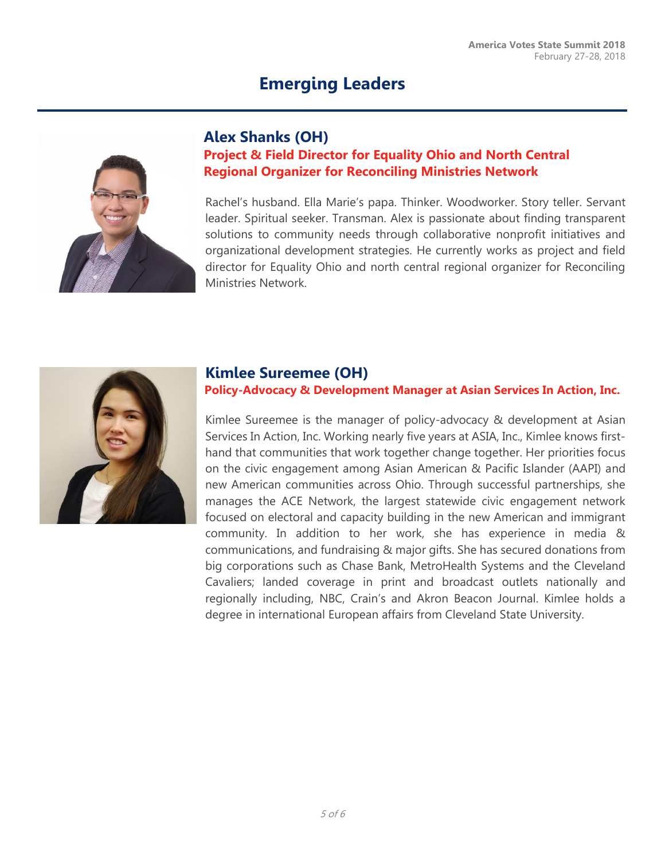

### **Alex Shanks (OH)**

# **Project & Field Director for Equality Ohio and North Central Regional Organizer for Reconciling Ministries Network**

Rachel's husband. Ella Marie's papa. Thinker. Woodworker. Story teller. Servant leader. Spiritual seeker. Transman. Alex is passionate about finding transparent solutions to community needs through collaborative nonprofit initiatives and organizational development strategies. He currently works as project and field director for Equality Ohio and north central regional organizer for Reconciling Ministries Network.



### **Kimlee Sureemee (OH)**

### **Policy-Advocacy & Development Manager at Asian Services In Action, Inc.**

Kimlee Sureemee is the manager of policy-advocacy & development at Asian Services In Action, Inc. Working nearly five years at ASIA, Inc., Kimlee knows firsthand that communities that work together change together. Her priorities focus on the civic engagement among Asian American & Pacific Islander (AAPI) and new American communities across Ohio. Through successful partnerships, she manages the ACE Network, the largest statewide civic engagement network focused on electoral and capacity building in the new American and immigrant community. In addition to her work, she has experience in media & communications, and fundraising & major gifts. She has secured donations from big corporations such as Chase Bank, MetroHealth Systems and the Cleveland Cavaliers; landed coverage in print and broadcast outlets nationally and regionally including, NBC, Crain's and Akron Beacon Journal. Kimlee holds a degree in international European affairs from Cleveland State University.